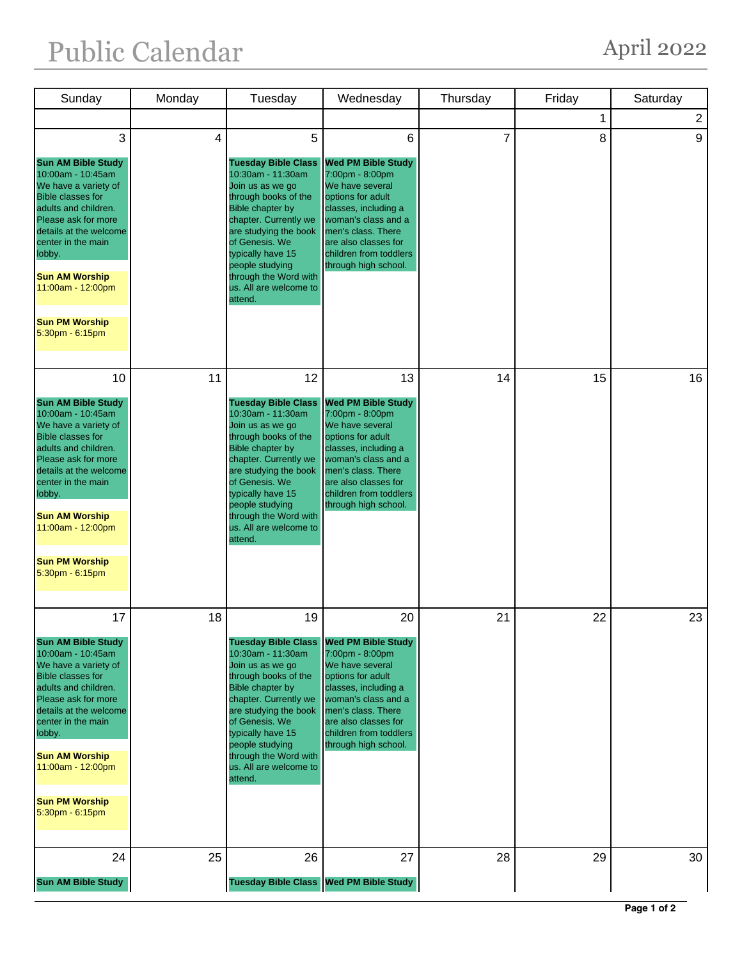## Public Calendar April 2022

| Sunday                                                                                                                                                                                                                                                                                                           | Monday | Tuesday                                                                                                                                                                                                                                                                                                | Wednesday                                                                                                                                                                                                                                 | Thursday       | Friday | Saturday       |
|------------------------------------------------------------------------------------------------------------------------------------------------------------------------------------------------------------------------------------------------------------------------------------------------------------------|--------|--------------------------------------------------------------------------------------------------------------------------------------------------------------------------------------------------------------------------------------------------------------------------------------------------------|-------------------------------------------------------------------------------------------------------------------------------------------------------------------------------------------------------------------------------------------|----------------|--------|----------------|
|                                                                                                                                                                                                                                                                                                                  |        |                                                                                                                                                                                                                                                                                                        |                                                                                                                                                                                                                                           |                | 1      | $\overline{2}$ |
| 3<br><b>Sun AM Bible Study</b><br>10:00am - 10:45am<br>We have a variety of<br><b>Bible classes for</b><br>adults and children.<br>Please ask for more<br>details at the welcome<br>center in the main<br>lobby.<br><b>Sun AM Worship</b><br>11:00am - 12:00pm<br><b>Sun PM Worship</b><br>$5:30$ pm - $6:15$ pm | 4      | 5<br><b>Tuesday Bible Class</b><br>10:30am - 11:30am<br>Join us as we go<br>through books of the<br><b>Bible chapter by</b><br>chapter. Currently we<br>are studying the book<br>of Genesis. We<br>typically have 15<br>people studying<br>through the Word with<br>us. All are welcome to<br>attend.  | 6<br><b>Wed PM Bible Study</b><br>7:00pm - 8:00pm<br>We have several<br>options for adult<br>classes, including a<br>woman's class and a<br>men's class. There<br>are also classes for<br>children from toddlers<br>through high school.  | $\overline{7}$ | 8      | 9              |
| 10<br><b>Sun AM Bible Study</b><br>10:00am - 10:45am<br>We have a variety of<br><b>Bible classes for</b><br>adults and children.<br>Please ask for more<br>details at the welcome<br>center in the main<br>lobby.<br><b>Sun AM Worship</b><br>11:00am - 12:00pm<br><b>Sun PM Worship</b><br>5:30pm - 6:15pm      | 11     | 12<br><b>Tuesday Bible Class</b><br>10:30am - 11:30am<br>Join us as we go<br>through books of the<br><b>Bible chapter by</b><br>chapter. Currently we<br>are studying the book<br>of Genesis. We<br>typically have 15<br>people studying<br>through the Word with<br>us. All are welcome to<br>attend. | 13<br><b>Wed PM Bible Study</b><br>7:00pm - 8:00pm<br>We have several<br>options for adult<br>classes, including a<br>woman's class and a<br>men's class. There<br>are also classes for<br>children from toddlers<br>through high school. | 14             | 15     | 16             |
| 17<br><b>Sun AM Bible Study</b><br>10:00am - 10:45am<br>We have a variety of<br><b>Bible classes for</b><br>adults and children.<br>Please ask for more<br>details at the welcome<br>center in the main<br>lobby.<br><b>Sun AM Worship</b><br>11:00am - 12:00pm<br><b>Sun PM Worship</b><br>5:30pm - 6:15pm      | 18     | 19<br><b>Tuesday Bible Class</b><br>10:30am - 11:30am<br>Join us as we go<br>through books of the<br>Bible chapter by<br>chapter. Currently we<br>are studying the book<br>of Genesis. We<br>typically have 15<br>people studying<br>through the Word with<br>us. All are welcome to<br>attend.        | 20<br><b>Wed PM Bible Study</b><br>7:00pm - 8:00pm<br>We have several<br>options for adult<br>classes, including a<br>woman's class and a<br>men's class. There<br>are also classes for<br>children from toddlers<br>through high school. | 21             | 22     | 23             |
| 24<br><b>Sun AM Bible Study</b>                                                                                                                                                                                                                                                                                  | 25     | 26<br><b>Tuesday Bible Class</b>                                                                                                                                                                                                                                                                       | 27<br><b>Wed PM Bible Study</b>                                                                                                                                                                                                           | 28             | 29     | 30             |